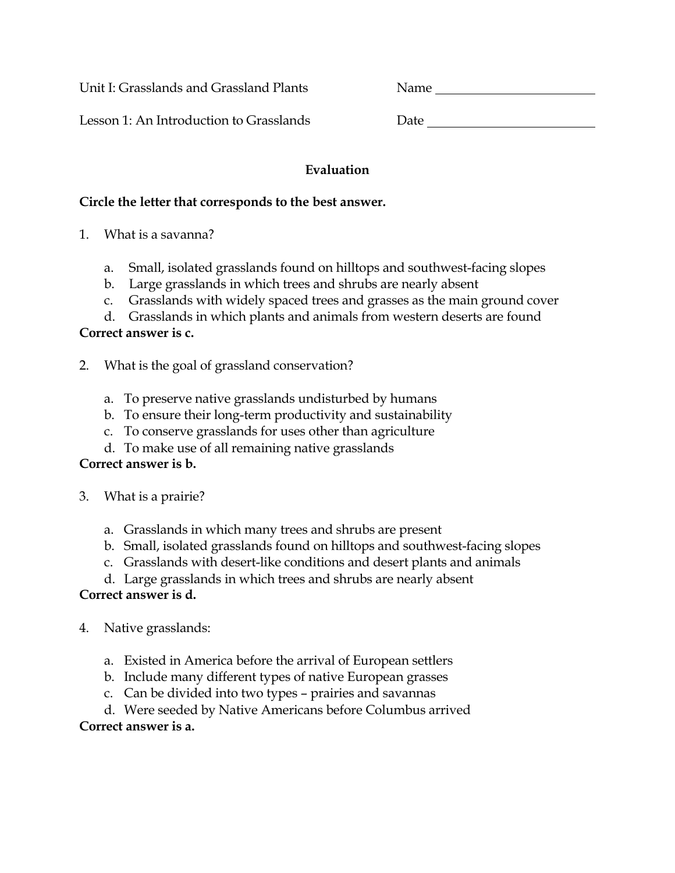Unit I: Grasslands and Grassland Plants Name

Lesson 1: An Introduction to Grasslands Date Date

#### **Evaluation**

#### **Circle the letter that corresponds to the best answer.**

- 1. What is a savanna?
	- a. Small, isolated grasslands found on hilltops and southwest-facing slopes
	- b. Large grasslands in which trees and shrubs are nearly absent
	- c. Grasslands with widely spaced trees and grasses as the main ground cover

d. Grasslands in which plants and animals from western deserts are found

## **Correct answer is c.**

- 2. What is the goal of grassland conservation?
	- a. To preserve native grasslands undisturbed by humans
	- b. To ensure their long-term productivity and sustainability
	- c. To conserve grasslands for uses other than agriculture
	- d. To make use of all remaining native grasslands

#### **Correct answer is b.**

- 3. What is a prairie?
	- a. Grasslands in which many trees and shrubs are present
	- b. Small, isolated grasslands found on hilltops and southwest-facing slopes
	- c. Grasslands with desert-like conditions and desert plants and animals
	- d. Large grasslands in which trees and shrubs are nearly absent

### **Correct answer is d.**

- 4. Native grasslands:
	- a. Existed in America before the arrival of European settlers
	- b. Include many different types of native European grasses
	- c. Can be divided into two types prairies and savannas

d. Were seeded by Native Americans before Columbus arrived **Correct answer is a.**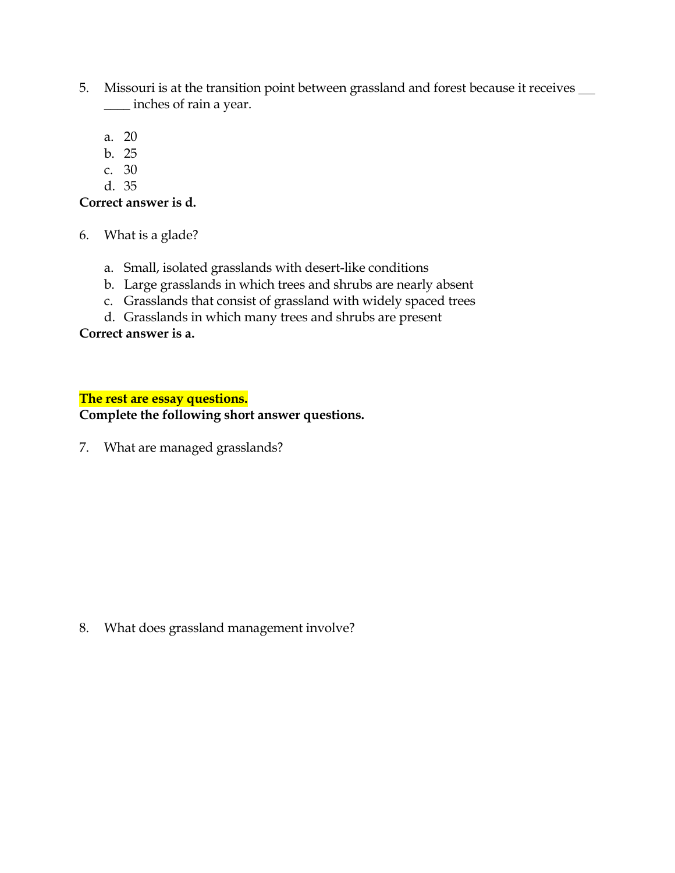- 5. Missouri is at the transition point between grassland and forest because it receives \_\_\_\_ inches of rain a year.
	- a. 20
	- b. 25
	- c. 30
	- d. 35

#### **Correct answer is d.**

- 6. What is a glade?
	- a. Small, isolated grasslands with desert-like conditions
	- b. Large grasslands in which trees and shrubs are nearly absent
	- c. Grasslands that consist of grassland with widely spaced trees
	- d. Grasslands in which many trees and shrubs are present

#### **Correct answer is a.**

#### **The rest are essay questions.**

#### **Complete the following short answer questions.**

7. What are managed grasslands?

8. What does grassland management involve?